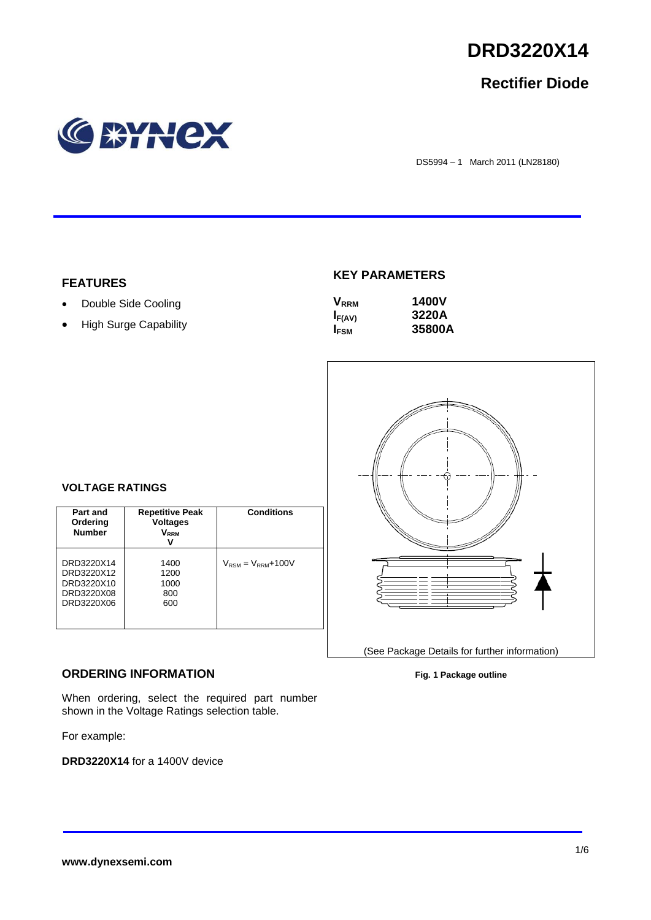

# **Rectifier Diode**



DS5994 – 1 March 2011 (LN28180)

## **FEATURES**

- Double Side Cooling
- High Surge Capability

# **KEY PARAMETERS**

| <b>V</b> <sub>RRM</sub> | <b>1400V</b> |
|-------------------------|--------------|
| $I_{F(AV)}$             | 3220A        |
| I <sub>FSM</sub>        | 35800A       |



# **VOLTAGE RATINGS**

| Part and<br>Ordering<br><b>Number</b>                              | <b>Repetitive Peak</b><br><b>Voltages</b><br>V <sub>rrm</sub><br>v | <b>Conditions</b>                        |
|--------------------------------------------------------------------|--------------------------------------------------------------------|------------------------------------------|
| DRD3220X14<br>DRD3220X12<br>DRD3220X10<br>DRD3220X08<br>DRD3220X06 | 1400<br>1200<br>1000<br>800<br>600                                 | $V_{\text{RSM}} = V_{\text{RRM}} + 100V$ |

### **ORDERING INFORMATION**

When ordering, select the required part number shown in the Voltage Ratings selection table.

For example:

**DRD3220X14** for a 1400V device

#### **Fig. 1 Package outline**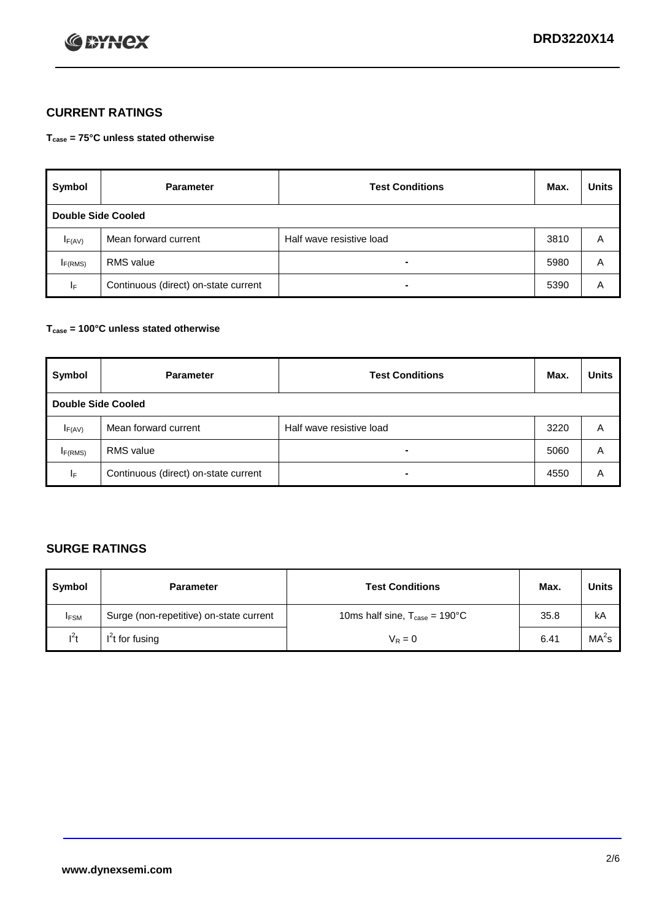

# **CURRENT RATINGS**

**Tcase = 75°C unless stated otherwise**

| Symbol      | <b>Parameter</b>                     | <b>Test Conditions</b>   | Max. | <b>Units</b> |  |  |
|-------------|--------------------------------------|--------------------------|------|--------------|--|--|
|             | <b>Double Side Cooled</b>            |                          |      |              |  |  |
| $I_{F(AV)}$ | Mean forward current                 | Half wave resistive load | 3810 | A            |  |  |
| IF(RMS)     | <b>RMS</b> value                     | $\blacksquare$           | 5980 | A            |  |  |
| IF.         | Continuous (direct) on-state current | -                        | 5390 | Α            |  |  |

### **Tcase = 100°C unless stated otherwise**

| Symbol                    | <b>Parameter</b>                     | <b>Test Conditions</b>   | Max. | <b>Units</b> |  |
|---------------------------|--------------------------------------|--------------------------|------|--------------|--|
| <b>Double Side Cooled</b> |                                      |                          |      |              |  |
| $I_{F(AV)}$               | Mean forward current                 | Half wave resistive load | 3220 | A            |  |
| I <sub>F(RMS)</sub>       | <b>RMS</b> value                     | $\blacksquare$           | 5060 | A            |  |
| lF.                       | Continuous (direct) on-state current | ۰                        | 4550 | A            |  |

# **SURGE RATINGS**

| Symbol      | <b>Parameter</b>                        | <b>Test Conditions</b>                            | Max. | <b>Units</b>      |
|-------------|-----------------------------------------|---------------------------------------------------|------|-------------------|
| <b>IFSM</b> | Surge (non-repetitive) on-state current | 10ms half sine, $T_{\text{case}} = 190^{\circ}$ C | 35.8 | kA                |
| $l^2t$      | I <sup>'</sup> t for fusing             | $V_R = 0$                                         | 6.41 | MA <sup>2</sup> s |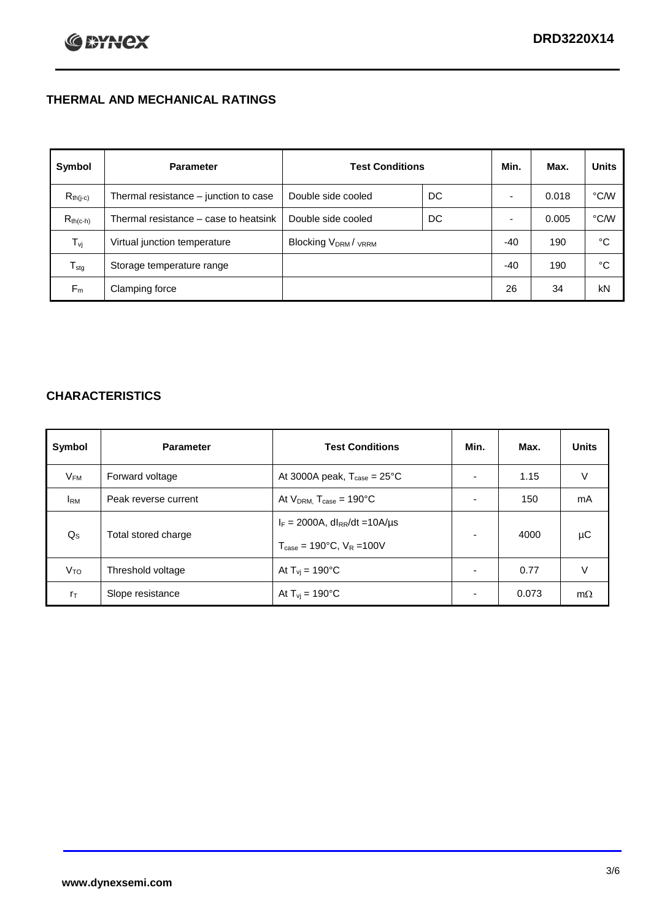# **THERMAL AND MECHANICAL RATINGS**

| Symbol           | <b>Parameter</b>                      | <b>Test Conditions</b>                      |    | Min.  | Max.  | <b>Units</b>  |
|------------------|---------------------------------------|---------------------------------------------|----|-------|-------|---------------|
| $R_{th(j-c)}$    | Thermal resistance - junction to case | Double side cooled                          | DC |       | 0.018 | °C/W          |
| $R_{th(c-h)}$    | Thermal resistance – case to heatsink | Double side cooled                          | DC |       | 0.005 | $\degree$ C/W |
| $T_{\rm vj}$     | Virtual junction temperature          | Blocking V <sub>DRM</sub> / <sub>VRRM</sub> |    | -40   | 190   | °C            |
| $T_{\text{stg}}$ | Storage temperature range             |                                             |    | $-40$ | 190   | °C            |
| $F_m$            | Clamping force                        |                                             |    | 26    | 34    | kN            |

# **CHARACTERISTICS**

| Symbol                  | <b>Parameter</b>     | <b>Test Conditions</b>                                                                           | Min.           | Max.  | <b>Units</b> |
|-------------------------|----------------------|--------------------------------------------------------------------------------------------------|----------------|-------|--------------|
| $V_{FM}$                | Forward voltage      | At 3000A peak, $T_{\text{case}} = 25^{\circ}C$                                                   |                | 1.15  | V            |
| <b>IRM</b>              | Peak reverse current | At $V_{DRM}$ , $T_{case} = 190^{\circ}C$                                                         |                | 150   | mA           |
| $\mathsf{Q}_\mathsf{S}$ | Total stored charge  | $I_F = 2000A$ , dl <sub>RR</sub> /dt = 10A/us<br>$T_{\text{case}} = 190^{\circ}$ C. $V_R = 100V$ |                | 4000  | μC           |
| V <sub>TO</sub>         | Threshold voltage    | At $T_{vi} = 190^{\circ}$ C                                                                      | $\blacksquare$ | 0.77  | V            |
| $r_{\text{T}}$          | Slope resistance     | At $T_{vi}$ = 190°C                                                                              |                | 0.073 | $m\Omega$    |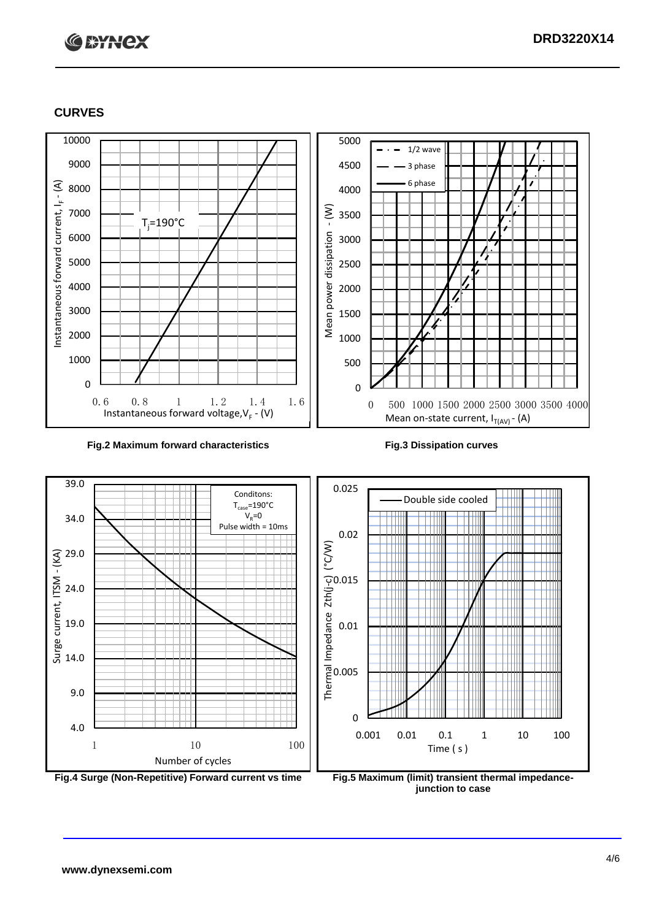# **C \*HHCX**

## **CURVES**



#### **Fig.2 Maximum forward characteristics Fig.3 Dissipation curves**



**junction to case**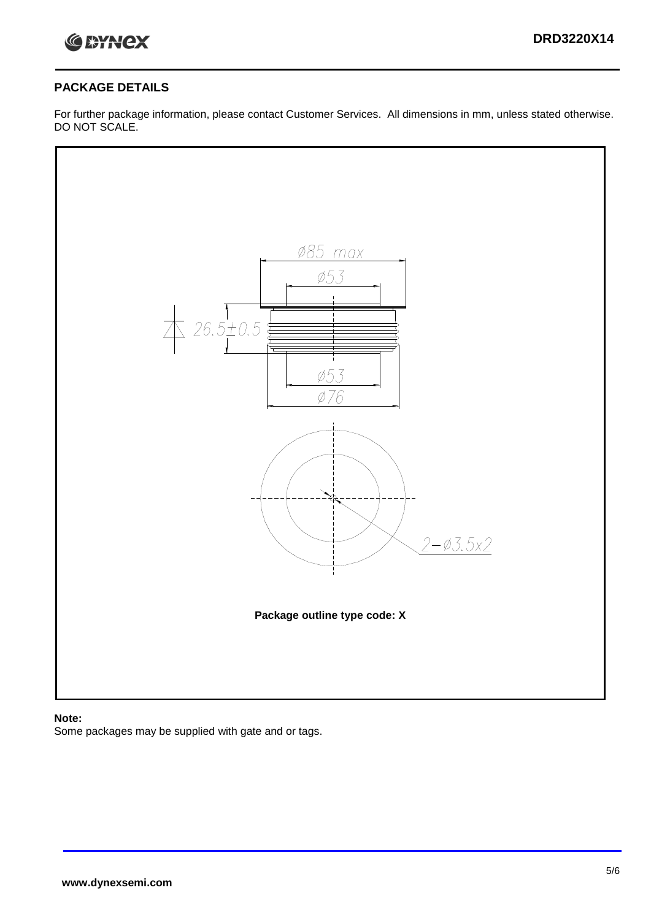

## **PACKAGE DETAILS**

For further package information, please contact Customer Services. All dimensions in mm, unless stated otherwise. DO NOT SCALE.



### **Note:**

Some packages may be supplied with gate and or tags.